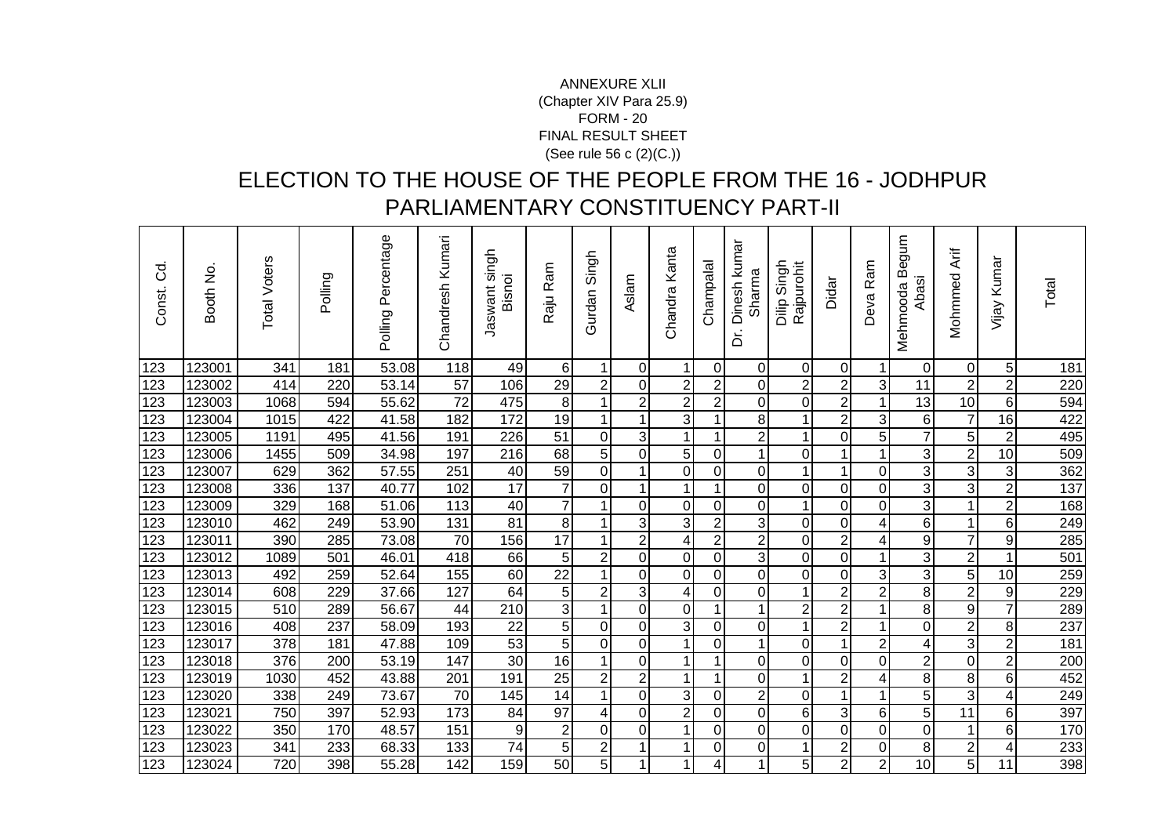## FORM - 20 FINAL RESULT SHEET (See rule 56 c (2)(C.))ANNEXURE XLII(Chapter XIV Para 25.9)

## ELECTION TO THE HOUSE OF THE PEOPLE FROM THE 16 - JODHPUR PARLIAMENTARY CONSTITUENCY PART-II

| ರ<br>$\circ$<br>Const. | Booth No. | <b>Total Voters</b> | Polling | Polling Percentage | Chandresh Kumari | Jaswant singh<br>Bisnoi | Raju Ram        | Singh<br>Gurdan | Aslam          | Chandra Kanta  | Champalal      | Dinesh kumar<br>Sharma<br>.<br>م | Singh<br>Rajpurohit<br>Dilip | Didar            | Ram<br>Deva    | mnbe<br>Mehmooda B<br>Abasi | Mohmmed Arif    | Kumar<br>Vijay  | Total            |
|------------------------|-----------|---------------------|---------|--------------------|------------------|-------------------------|-----------------|-----------------|----------------|----------------|----------------|----------------------------------|------------------------------|------------------|----------------|-----------------------------|-----------------|-----------------|------------------|
| 123                    | 123001    | 341                 | 181     | 53.08              | 118              | 49                      | 6               | 1               | $\overline{0}$ | $\mathbf{1}$   | $\Omega$       | $\overline{0}$                   | 0                            | $\mathbf 0$      | 1              | $\overline{0}$              | $\Omega$        | 5               | 181              |
| 123                    | 123002    | 414                 | 220     | 53.14              | 57               | 106                     | 29              | $\overline{2}$  | $\overline{0}$ | $\overline{2}$ | $\overline{2}$ | 0                                | $\overline{c}$               | $\overline{2}$   | $\overline{3}$ | 11                          | $\overline{c}$  | $\overline{c}$  | 220              |
| 123                    | 123003    | 1068                | 594     | 55.62              | $\overline{72}$  | 475                     | 8 <sup>1</sup>  | 1               | $\overline{2}$ | $\overline{2}$ | $\overline{2}$ | $\overline{0}$                   | $\overline{0}$               | $\overline{c}$   | 1              | 13                          | $\overline{10}$ | 6               | 594              |
| 123                    | 123004    | 1015                | 422     | 41.58              | 182              | 172                     | 19              | 1               | 1              | $\overline{3}$ | 1              | 8                                | 1                            | $\overline{c}$   | 3              | $6 \mid$                    | $\overline{7}$  | 16              | 422              |
| 123                    | 123005    | 1191                | 495     | 41.56              | 191              | 226                     | 51              | 0               | 3 <sup>1</sup> | $\mathbf{1}$   | $\mathbf{1}$   | $\overline{\mathbf{c}}$          | 1                            | 0                | 5              | $\overline{7}$              | 5               | $\overline{c}$  | 495              |
| 123                    | 123006    | 1455                | 509     | 34.98              | 197              | 216                     | $\overline{68}$ | 5               | $\Omega$       | $\overline{5}$ | $\mathbf 0$    | 1                                | 0                            | 1                |                | $\overline{3}$              | $\overline{2}$  | 10              | 509              |
| 123                    | 123007    | 629                 | 362     | 57.55              | 251              | 40                      | 59              | $\mathbf 0$     | 1              | $\mathbf 0$    | $\overline{0}$ | 0                                | 1                            | 1                | $\mathbf 0$    | $\overline{3}$              | $\overline{3}$  | 3               | 362              |
| 123                    | 123008    | 336                 | 137     | 40.77              | 102              | $\overline{17}$         | $\overline{7}$  | $\mathbf 0$     | $\mathbf{1}$   | $\mathbf{1}$   | $\mathbf{1}$   | 0                                | 0                            | 0                | $\overline{0}$ | $\overline{3}$              | 3               | $\overline{2}$  | $\overline{137}$ |
| 123                    | 123009    | 329                 | 168     | 51.06              | 113              | 40                      | $\overline{7}$  |                 | $\Omega$       | $\mathbf 0$    | $\overline{0}$ | 0                                | 1                            | 0                | $\mathbf 0$    | $\overline{3}$              | 1               | $\overline{c}$  | 168              |
| 123                    | 123010    | 462                 | 249     | 53.90              | 131              | 81                      | $\bf 8$         | 1               | 3              | 3              | $\mathbf{2}$   | 3                                | $\mathbf 0$                  | 0                | 4              | $\overline{6}$              | $\mathbf{1}$    | 6               | 249              |
| 123                    | 123011    | 390                 | 285     | 73.08              | 70               | 156                     | 17              | 1               | $\overline{2}$ | 4              | $\overline{2}$ | $\overline{2}$                   | 0                            | $\overline{2}$   | 4              | $\overline{9}$              | $\overline{7}$  | 9               | 285              |
| 123                    | 123012    | 1089                | 501     | 46.01              | 418              | 66                      | 5               | $\overline{2}$  | $\overline{0}$ | $\mathbf 0$    | $\mathbf 0$    | 3                                | 0                            | $\boldsymbol{0}$ |                | $\overline{3}$              | $\overline{2}$  |                 | 501              |
| 123                    | 123013    | 492                 | 259     | 52.64              | 155              | 60                      | $\overline{22}$ | $\mathbf 1$     | $\Omega$       | $\mathbf 0$    | $\overline{0}$ | $\overline{0}$                   | $\overline{0}$               | $\mathbf 0$      | 3              | $\overline{3}$              | $\overline{5}$  | 10              | 259              |
| 123                    | 123014    | 608                 | 229     | 37.66              | 127              | 64                      | 5 <sup>1</sup>  | $\overline{2}$  | 3              | 4              | $\overline{0}$ | 0                                | $\mathbf{1}$                 | $\overline{c}$   | $\overline{2}$ | 8 <sup>1</sup>              | $\overline{c}$  | 9               | 229              |
| 123                    | 123015    | 510                 | 289     | 56.67              | 44               | 210                     | $\overline{3}$  | 1               | $\overline{0}$ | $\mathbf 0$    | 1              | 1                                | $\overline{c}$               | $\overline{c}$   |                | 8 <sup>1</sup>              | 9               | $\overline{7}$  | 289              |
| 123                    | 123016    | 408                 | 237     | 58.09              | 193              | $\overline{22}$         | 5               | $\mathbf 0$     | $\overline{0}$ | $\overline{3}$ | $\mathbf 0$    | 0                                | 1                            | $\overline{2}$   | $\mathbf 1$    | $\overline{0}$              | $\overline{2}$  | 8               | 237              |
| 123                    | 123017    | 378                 | 181     | 47.88              | 109              | $\overline{53}$         | $\overline{5}$  | $\mathbf 0$     | $\overline{0}$ | $\mathbf{1}$   | $\overline{0}$ | $\mathbf 1$                      | $\mathbf 0$                  | $\mathbf{1}$     | $\mathbf 2$    | 4                           | 3               | $\overline{c}$  | 181              |
| 123                    | 123018    | 376                 | 200     | 53.19              | 147              | $\overline{30}$         | 16              | $\mathbf 1$     | $\Omega$       | $\mathbf{1}$   | $\mathbf{1}$   | 0                                | 0                            | $\mathbf 0$      | $\mathbf 0$    | $\mathbf{2}$                | $\pmb{0}$       | $\overline{c}$  | 200              |
| 123                    | 123019    | 1030                | 452     | 43.88              | 201              | 191                     | $\overline{25}$ | $\overline{2}$  | $\overline{2}$ | $\mathbf{1}$   | 1              | $\overline{0}$                   | 1                            | $\overline{2}$   | 4              | $\overline{\mathbf{8}}$     | 8               | 6               | 452              |
| 123                    | 123020    | 338                 | 249     | 73.67              | 70               | 145                     | 14              | $\mathbf 1$     | $\overline{0}$ | 3              | $\overline{0}$ | $\overline{c}$                   | 0                            | 1                | 1              | $\overline{5}$              | $\overline{3}$  | 4               | 249              |
| 123                    | 123021    | 750                 | 397     | 52.93              | 173              | 84                      | $\overline{97}$ | $\overline{4}$  | $\overline{0}$ | $\overline{2}$ | $\overline{0}$ | 0                                | 6                            | 3                | 6              | $\overline{5}$              | $\overline{11}$ | 6               | 397              |
| 123                    | 123022    | 350                 | 170     | 48.57              | 151              | $\overline{9}$          | $\overline{2}$  | $\Omega$        | $\Omega$       | $\mathbf{1}$   | $\overline{0}$ | $\Omega$                         | 0                            | 0                | $\overline{0}$ | $\overline{0}$              | 1               | 6               | 170              |
| 123                    | 123023    | 341                 | 233     | 68.33              | 133              | 74                      | 5               | $\overline{2}$  | 1              | $\mathbf 1$    | $\overline{0}$ | 0                                | 1                            | $\overline{c}$   | $\mathbf 0$    | 8                           | $\overline{c}$  | 4               | 233              |
| 123                    | 123024    | 720                 | 398     | 55.28              | 142              | 159                     | 50              | $\overline{5}$  | 1              | 1              | 4              | 1                                | $\overline{5}$               | $\overline{2}$   | $\overline{2}$ | 10                          | $\overline{5}$  | $\overline{11}$ | 398              |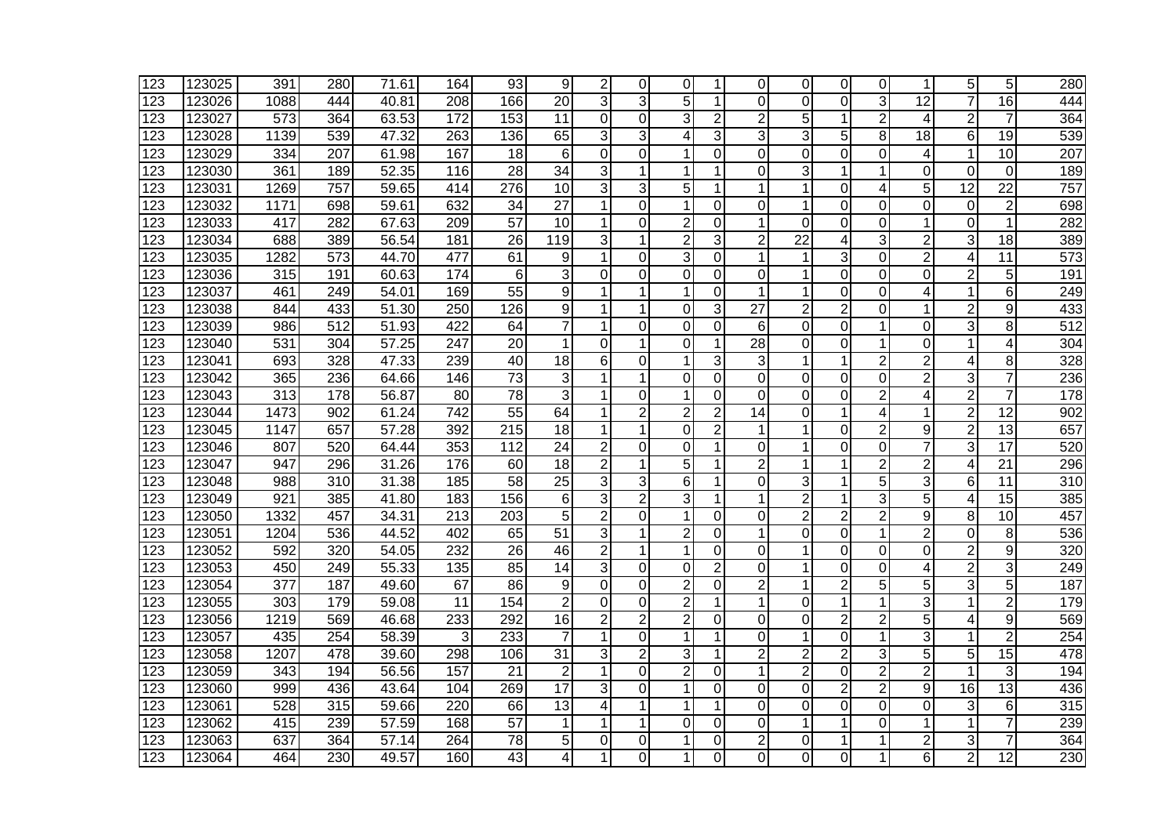| 123              | 123025 | 391              | 280              | 71.61 | 164             | 93              | 9               | $\overline{2}$ | $\Omega$       | 0              |                | 0               | 0               | 0              | 0              | 1               | 5              | 5               | 280              |
|------------------|--------|------------------|------------------|-------|-----------------|-----------------|-----------------|----------------|----------------|----------------|----------------|-----------------|-----------------|----------------|----------------|-----------------|----------------|-----------------|------------------|
| 123              | 123026 | 1088             | 444              | 40.81 | 208             | 166             | 20              | 3              | 3              | 5              |                | $\Omega$        | $\overline{0}$  | 0              | 3              | 12              | $\overline{7}$ | 16              | 444              |
| 123              | 123027 | 573              | 364              | 63.53 | 172             | 153             | 11              | $\mathbf 0$    | $\overline{0}$ | 3              | $\overline{2}$ | $\overline{2}$  | 5               | 1              | $\overline{2}$ | 4               | $\overline{2}$ | $\overline{7}$  | 364              |
| 123              | 123028 | 1139             | 539              | 47.32 | 263             | 136             | 65              | 3              | 3              | 4              | 3              | 3               | 3               | 5              | 8              | $\overline{18}$ | 6              | $\overline{19}$ | 539              |
| 123              | 123029 | 334              | 207              | 61.98 | 167             | 18              | 6               | $\overline{0}$ | 0              | $\mathbf 1$    | 0              | 0               | $\mathbf 0$     | 0              | $\overline{0}$ | 4               | 1              | $\overline{10}$ | 207              |
| $\overline{123}$ | 123030 | 361              | 189              | 52.35 | 116             | $\overline{28}$ | $\overline{34}$ | 3              | 1              | 1              | 1              | 0               | 3               | 1              | 1              | 0               | 0              | $\Omega$        | 189              |
| 123              | 123031 | 1269             | $\overline{757}$ | 59.65 | 414             | $\sqrt{276}$    | $\overline{10}$ | 3              | 3              | 5              | 1              |                 | 1               | $\mathbf 0$    | 4              | 5               | 12             | $\overline{22}$ | 757              |
| 123              | 123032 | 1171             | 698              | 59.61 | 632             | $\overline{34}$ | $\overline{27}$ | 1              | 0              | $\mathbf{1}$   | 0              | 0               | 1               | 0              | 0              | 0               | 0              | $\overline{2}$  | 698              |
| 123              | 123033 | 417              | 282              | 67.63 | 209             | 57              | 10              | 1              | $\Omega$       | $\overline{2}$ | $\Omega$       | 1               | $\mathbf 0$     | $\Omega$       | $\mathbf 0$    | 1               | $\Omega$       | 1               | 282              |
| 123              | 123034 | 688              | 389              | 56.54 | 181             | $\overline{26}$ | 119             | 3              | 1              | $\overline{2}$ | 3              | $\overline{2}$  | $\overline{22}$ | 4              | 3              | $\overline{2}$  | 3              | $\overline{18}$ | 389              |
| 123              | 123035 | 1282             | 573              | 44.70 | 477             | 61              | 9               | 1              | $\Omega$       | 3              | 0              | 1               | 1               | 3              | 0              | $\overline{2}$  | 4              | 11              | 573              |
| 123              | 123036 | 315              | 191              | 60.63 | 174             | 6               | 3               | $\mathbf 0$    | 0              | 0              | 0              | 0               | $\mathbf{1}$    | 0              | 0              | 0               | $\overline{2}$ | 5               | 191              |
| 123              | 123037 | 461              | 249              | 54.01 | 169             | 55              | 9               | 1              | 1              | $\mathbf{1}$   | 0              | 1               | 1               | 0              | 0              | 4               | 1              | 6               | 249              |
| 123              | 123038 | 844              | 433              | 51.30 | 250             | 126             | 9               | 1              | 1              | $\Omega$       | 3              | 27              | $\overline{2}$  | $\overline{2}$ | $\overline{0}$ | 1               | 2              | 9               | 433              |
| 123              | 123039 | 986              | 512              | 51.93 | 422             | 64              | $\overline{7}$  | 1              | 0              | 0              | 0              | 6               | 0               | 0              | $\mathbf 1$    | 0               | 3              | 8               | $\overline{512}$ |
| 123              | 123040 | 531              | 304              | 57.25 | 247             | $\overline{20}$ | 1               | 0              |                | 0              | 1              | $\overline{28}$ | $\overline{0}$  | $\overline{0}$ | 1              | $\overline{0}$  | 1              | 4               | 304              |
| 123              | 123041 | 693              | 328              | 47.33 | 239             | 40              | 18              | 6              | $\mathbf 0$    | $\mathbf{1}$   | 3              | 3               | 1               | 1              | $\overline{2}$ | $\overline{c}$  | 4              | 8               | 328              |
| 123              | 123042 | 365              | 236              | 64.66 | 146             | 73              | 3               | 1              | 1              | $\Omega$       | 0              | 0               | $\Omega$        | $\mathbf 0$    | 0              | $\overline{c}$  | 3              | $\overline{7}$  | 236              |
| 123              | 123043 | 313              | 178              | 56.87 | 80              | 78              | 3               | 1              | $\Omega$       | 1              | 0              | 0               | 0               | 0              | $\overline{2}$ | 4               | $\overline{2}$ | $\overline{7}$  | 178              |
| 123              | 123044 | 1473             | 902              | 61.24 | 742             | 55              | 64              | 1              | $\overline{2}$ | $\overline{2}$ | $\overline{2}$ | 14              | 0               | 1              | 4              | 1               | $\overline{2}$ | $\overline{12}$ | 902              |
| 123              | 123045 | 1147             | 657              | 57.28 | 392             | 215             | 18              | 1              | 1              | $\Omega$       | $\overline{2}$ | 1               | 1               | 0              | $\overline{2}$ | 9               | $\overline{2}$ | 13              | 657              |
| 123              | 123046 | 807              | 520              | 64.44 | 353             | 112             | 24              | $\overline{2}$ | $\Omega$       | $\Omega$       |                | 0               | 1               | 0              | $\Omega$       | $\overline{7}$  | 3              | 17              | 520              |
| 123              | 123047 | 947              | 296              | 31.26 | 176             | 60              | 18              | $\overline{2}$ |                | 5              |                | $\overline{2}$  | 1               | 1              | $\overline{2}$ | $\overline{2}$  | 4              | 21              | 296              |
| 123              | 123048 | 988              | 310              | 31.38 | 185             | $\overline{58}$ | $\overline{25}$ | $\overline{3}$ | 3              | 6              |                | 0               | 3               | 1              | $\overline{5}$ | 3               | 6              | $\overline{11}$ | $\overline{310}$ |
| 123              | 123049 | 921              | 385              | 41.80 | 183             | 156             | 6               | 3              | $\overline{2}$ | 3              |                | 1               | $\overline{2}$  | 1              | 3              | 5               | 4              | $\overline{15}$ | 385              |
| 123              | 123050 | 1332             | 457              | 34.31 | 213             | 203             | 5               | $\overline{2}$ | $\Omega$       | $\mathbf{1}$   | 0              | 0               | $\overline{2}$  | $\overline{2}$ | $\overline{2}$ | 9               | 8              | 10              | 457              |
| 123              | 123051 | 1204             | 536              | 44.52 | 402             | 65              | 51              | 3              | 1              | $\overline{2}$ | 0              | 1               | 0               | 0              | $\mathbf{1}$   | $\overline{2}$  | $\mathbf 0$    | 8               | 536              |
| 123              | 123052 | 592              | 320              | 54.05 | 232             | 26              | 46              | $\overline{2}$ | 1              | 1              | 0              | 0               | 1               | 0              | 0              | 0               | $\overline{c}$ | 9               | 320              |
| 123              | 123053 | 450              | 249              | 55.33 | 135             | 85              | 14              | 3              | $\Omega$       | $\Omega$       | $\overline{2}$ | 0               | 1               | 0              | 0              | 4               | $\overline{c}$ | 3               | 249              |
| 123              | 123054 | $\overline{377}$ | 187              | 49.60 | 67              | 86              | 9               | $\mathbf 0$    | $\Omega$       | $\overline{2}$ | 0              | $\overline{2}$  | 1               | $\overline{2}$ | 5              | 5               | 3              | 5               | 187              |
| 123              | 123055 | 303              | 179              | 59.08 | $\overline{11}$ | 154             | $\overline{2}$  | $\mathbf 0$    | 0              | $\overline{2}$ | 1              | 1               | $\mathbf 0$     | 1              | 1              | 3               | 1              | $\overline{2}$  | 179              |
| 123              | 123056 | 1219             | 569              | 46.68 | 233             | 292             | 16              | $\overline{c}$ | $\overline{2}$ | $\overline{2}$ | 0              | 0               | $\overline{0}$  | $\overline{c}$ | $\overline{c}$ | $\overline{5}$  | 4              | 9               | 569              |
| 123              | 123057 | 435              | 254              | 58.39 | 3               | 233             | 7               | 1              | $\mathbf 0$    | 1              |                | 0               | 1               | $\mathbf 0$    | 1              | 3               | 1              | $\overline{2}$  | 254              |
| 123              | 123058 | 1207             | 478              | 39.60 | 298             | 106             | 31              | 3              | $\overline{2}$ | 3              | 1              | $\overline{2}$  | $\overline{2}$  | $\overline{2}$ | 3              | 5               | 5              | 15              | 478              |
| 123              | 123059 | 343              | 194              | 56.56 | 157             | $\overline{21}$ | $\overline{2}$  | 1              | 0              | $\overline{2}$ | 0              | 1               | $\overline{2}$  | 0              | $\overline{2}$ | $\overline{2}$  | 1              | 3               | 194              |
| 123              | 123060 | 999              | 436              | 43.64 | 104             | 269             | 17              | 3              | $\Omega$       |                | 0              | 0               | 0               | $\overline{2}$ | $\overline{2}$ | 9               | 16             | 13              | 436              |
| 123              | 123061 | 528              | 315              | 59.66 | 220             | 66              | $\overline{13}$ | 4              |                | 1              |                | 0               | $\Omega$        | $\Omega$       | 0              | 0               | 3              | 6               | 315              |
| 123              | 123062 | 415              | 239              | 57.59 | 168             | $\overline{57}$ | 1               | 1              |                | 0              | 0              | 0               | 1               | 1              | 0              | 1               | 1              | $\overline{7}$  | 239              |
| 123              | 123063 | 637              | 364              | 57.14 | 264             | 78              | 5               | 0              | 0              |                | 0              | 2               | 0               | 1              | 1              | $\overline{c}$  | 3              | 7               | 364              |
| 123              | 123064 | 464              | 230              | 49.57 | 160             | 43              | 4               |                | $\Omega$       |                | $\Omega$       | 0               | 0               | 0              | 1              | 6               | $\overline{2}$ | $\overline{12}$ | 230              |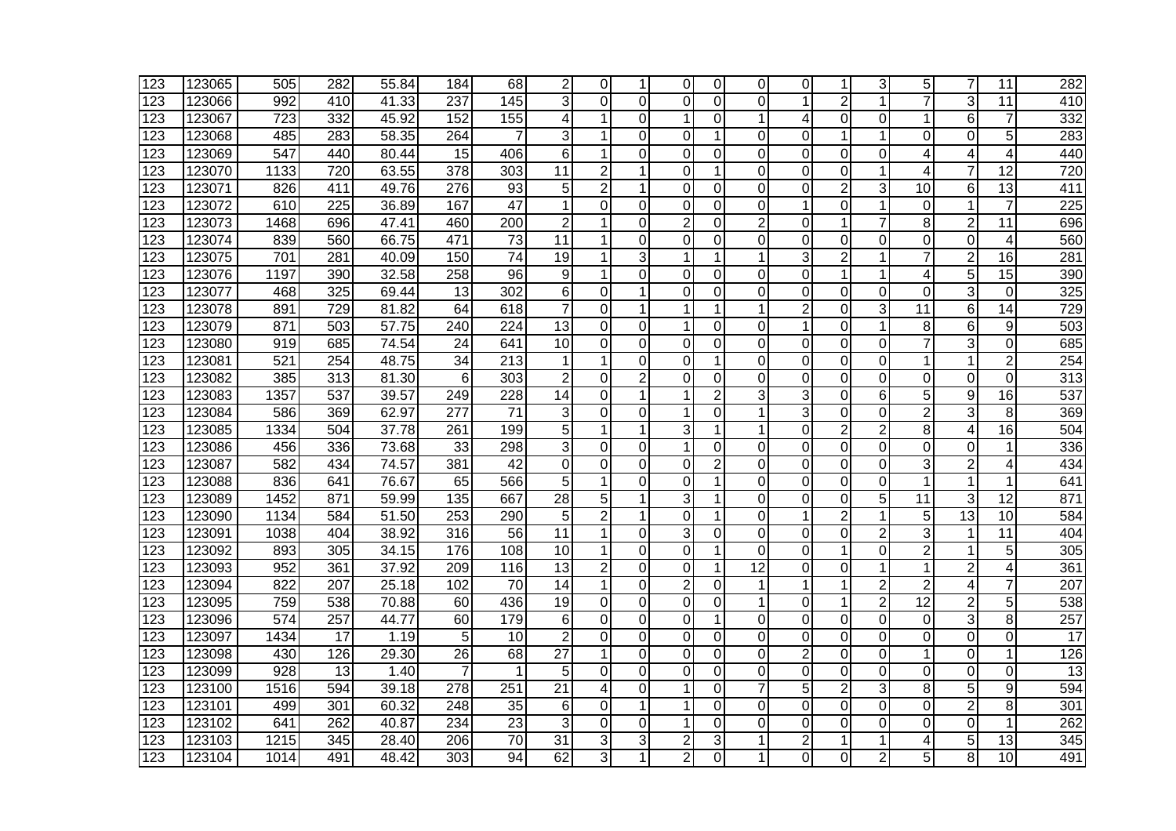| 123              | 123065 | 505              | 282              | 55.84              | 184              | 68               | 2               | 0              |                | 0              | 0              | 0        | 0              | 1              | 3              | 5                       | $\overline{7}$  | 11              | 282              |
|------------------|--------|------------------|------------------|--------------------|------------------|------------------|-----------------|----------------|----------------|----------------|----------------|----------|----------------|----------------|----------------|-------------------------|-----------------|-----------------|------------------|
| 123              | 123066 | 992              | 410              | 41.33              | 237              | 145              | 3               | $\Omega$       | $\Omega$       | 0              | 0              | 0        | 1              | $\overline{2}$ | 1              | $\overline{7}$          | 3               | $\overline{11}$ | 410              |
| 123              | 123067 | 723              | 332              | 45.92              | 152              | 155              | 4               | 1              | $\Omega$       | $\mathbf 1$    | 0              | 1        | 4              | $\Omega$       | $\Omega$       | 1                       | 6               | $\overline{7}$  | 332              |
| 123              | 123068 | 485              | 283              | 58.35              | 264              |                  | 3               | 1              | $\Omega$       | $\Omega$       | 1              | 0        | $\Omega$       | 1              | 1              | 0                       | 0               | 5               | 283              |
| 123              | 123069 | 547              | 440              | 80.44              | 15               | 406              | 6               | 1              | $\Omega$       | $\Omega$       | 0              | 0        | 0              | 0              | $\Omega$       | 4                       | 4               | $\overline{4}$  | 440              |
| 123              | 123070 | 1133             | 720              | 63.55              | 378              | 303              | 11              | 2              | 1              | 0              |                | 0        | 0              | 0              | 1              | 4                       | 7               | 12              | 720              |
| 123              | 123071 | 826              | 411              | 49.76              | $\overline{276}$ | 93               | 5               | 2              |                | $\Omega$       | 0              | 0        | 0              | 2              | 3              | $\overline{10}$         | 6               | 13              | 411              |
| 123              | 123072 | 610              | $\overline{225}$ | 36.89              | 167              | 47               | 1               | 0              | $\Omega$       | 0              | 0              | 0        | $\mathbf 1$    | $\overline{0}$ | $\mathbf{1}$   | $\mathbf 0$             | 1               | $\overline{7}$  | 225              |
| 123              | 123073 | 1468             | 696              | $\overline{47.41}$ | 460              | $\overline{200}$ | $\overline{2}$  | 1              | $\Omega$       | $\overline{2}$ | 0              | 2        | $\overline{0}$ | 1              | 7              | 8                       | $\overline{2}$  | $\overline{11}$ | 696              |
| 123              | 123074 | 839              | 560              | 66.75              | 471              | $\overline{73}$  | 11              | 1              | $\Omega$       | $\Omega$       | 0              | 0        | $\overline{0}$ | $\mathbf 0$    | 0              | 0                       | $\Omega$        | 4               | 560              |
| 123              | 123075 | 701              | 281              | 40.09              | 150              | 74               | 19              | 1              | 3              | 1              | 1              | 1        | 3              | $\overline{2}$ | $\mathbf{1}$   | $\overline{7}$          | $\overline{2}$  | 16              | 281              |
| 123              | 123076 | 1197             | 390              | 32.58              | 258              | 96               | 9               | 1              | 0              | 0              | $\Omega$       | 0        | $\Omega$       | 1              | $\mathbf{1}$   | 4                       | 5               | 15              | 390              |
| 123              | 123077 | 468              | 325              | 69.44              | 13               | 302              | 6               | 0              | 1              | 0              | 0              | 0        | 0              | 0              | 0              | 0                       | 3               | $\Omega$        | 325              |
| 123              | 123078 | 891              | 729              | 81.82              | 64               | 618              | 7               | 0              |                | 1              |                |          | $\overline{c}$ | 0              | 3              | 11                      | 6               | 14              | 729              |
| 123              | 123079 | 871              | 503              | 57.75              | 240              | 224              | 13              | 0              | $\Omega$       | 1              | 0              | 0        | $\mathbf{1}$   | $\Omega$       | 1              | 8                       | 6               | 9               | 503              |
| 123              | 123080 | 919              | 685              | 74.54              | 24               | 641              | 10              | $\mathbf 0$    | $\Omega$       | 0              | 0              | $\Omega$ | $\mathbf 0$    | $\Omega$       | $\Omega$       | $\overline{7}$          | 3               | $\Omega$        | 685              |
| 123              | 123081 | 521              | 254              | 48.75              | 34               | 213              | 1               | 1              | $\mathbf 0$    | $\mathbf 0$    |                | 0        | $\mathbf 0$    | $\mathbf 0$    | $\overline{0}$ | 1                       | 1               | $\overline{2}$  | 254              |
| 123              | 123082 | 385              | 313              | 81.30              | 6                | 303              | $\overline{2}$  | $\Omega$       | $\overline{2}$ | $\Omega$       | 0              | 0        | $\Omega$       | 0              | 0              | $\mathbf 0$             | 0               | $\Omega$        | 313              |
| 123              | 123083 | 1357             | 537              | 39.57              | 249              | 228              | 14              | 0              | 1              | 1              | $\overline{2}$ | 3        | 3              | 0              | 6              | 5                       | 9               | 16              | 537              |
| 123              | 123084 | 586              | 369              | 62.97              | 277              | 71               | 3               | 0              | $\Omega$       | 1              | 0              | 1        | 3              | 0              | 0              | $\overline{\mathbf{c}}$ | 3               | 8               | 369              |
| 123              | 123085 | 1334             | 504              | 37.78              | 261              | 199              | 5               | 1              | 1              | 3              |                |          | $\mathbf 0$    | $\overline{2}$ | $\overline{2}$ | 8                       | 4               | 16              | 504              |
| 123              | 123086 | 456              | 336              | 73.68              | 33               | 298              | 3               | $\Omega$       | 0              | $\mathbf 1$    | 0              | 0        | $\overline{0}$ | 0              | $\Omega$       | 0                       | 0               | 1               | 336              |
| 123              | 123087 | 582              | 434              | 74.57              | 381              | $\overline{42}$  | $\overline{0}$  | $\overline{0}$ | 0              | 0              | $\overline{2}$ | 0        | $\overline{0}$ | O              | $\overline{0}$ | 3                       | $\overline{2}$  | $\overline{4}$  | 434              |
| 123              | 123088 | 836              | 641              | 76.67              | 65               | 566              | 5               | $\mathbf 1$    | 0              | 0              | 1              | $\Omega$ | $\overline{0}$ | 0              | $\overline{0}$ | $\mathbf{1}$            | $\mathbf{1}$    | 1               | 641              |
| 123              | 123089 | 1452             | 871              | 59.99              | 135              | 667              | 28              | 5              |                | 3              |                | 0        | $\Omega$       | $\mathbf 0$    | $\overline{5}$ | $\overline{11}$         | 3               | $\overline{12}$ | 871              |
| 123              | 123090 | 1134             | 584              | 51.50              | 253              | 290              | 5               | $\overline{2}$ | 1              | $\Omega$       | 1              | 0        | 1              | $\overline{2}$ | 1              | 5                       | $\overline{13}$ | 10              | 584              |
| 123              | 123091 | 1038             | 404              | 38.92              | 316              | 56               | 11              | 1              | $\Omega$       | 3              | 0              | 0        | 0              | 0              | $\overline{2}$ | 3                       | 1               | 11              | 404              |
| 123              | 123092 | 893              | 305              | 34.15              | 176              | 108              | 10              | 1              | $\Omega$       | $\Omega$       | 1              | 0        | 0              | 1              | 0              | $\overline{c}$          | 1               | 5               | 305              |
| 123              | 123093 | 952              | 361              | 37.92              | 209              | 116              | 13              | $\overline{2}$ | 0              | $\Omega$       | 1              | 12       | 0              | 0              | 1              | 1                       | 2               | 4               | 361              |
| 123              | 123094 | 822              | 207              | 25.18              | 102              | $\overline{70}$  | 14              | 1              | $\Omega$       | $\overline{2}$ | 0              | 1        | 1              | 1              | $\overline{2}$ | $\overline{2}$          | 4               | $\overline{7}$  | 207              |
| 123              | 123095 | 759              | 538              | 70.88              | 60               | 436              | 19              | $\mathbf 0$    | 0              | 0              | 0              | 1        | $\mathbf 0$    | 1              | $\overline{2}$ | 12                      | $\overline{c}$  | 5               | 538              |
| 123              | 123096 | 574              | 257              | 44.77              | 60               | 179              | 6               | 0              | $\mathbf 0$    | $\overline{0}$ | 1              | 0        | $\overline{0}$ | 0              | 0              | 0                       | 3               | 8               | 257              |
| 123              | 123097 | 1434             | 17               | 1.19               | 5                | 10               | $\overline{2}$  | $\Omega$       | $\Omega$       | $\Omega$       | 0              | 0        | $\Omega$       | $\mathbf 0$    | $\Omega$       | $\overline{0}$          | 0               | $\Omega$        | 17               |
| 123              | 123098 | 430              | 126              | 29.30              | 26               | 68               | $\overline{27}$ | 1              | $\Omega$       | $\Omega$       | 0              | 0        | $\overline{2}$ | 0              | 0              | 1                       | 0               | 1               | 126              |
| 123              | 123099 | $\overline{928}$ | $\overline{13}$  | 1.40               |                  |                  | 5               | 0              | 0              | $\Omega$       | $\Omega$       | 0        | $\overline{0}$ | 0              | $\Omega$       | Ō                       | 0               | $\Omega$        | $\overline{13}$  |
| $\overline{123}$ | 123100 | 1516             | 594              | 39.18              | 278              | 251              | $\overline{21}$ | 4              | 0              |                | 0              |          | 5              | $\overline{2}$ | 3              | $\overline{8}$          | 5               | 9               | 594              |
| 123              | 123101 | 499              | 301              | 60.32              | $\overline{248}$ | 35               | 6               | $\Omega$       |                |                | 0              | 0        | 0              | 0              | 0              | $\overline{0}$          | 2               | 8               | 301              |
| 123              | 123102 | 641              | 262              | 40.87              | 234              | 23               | 3               | $\Omega$       | $\Omega$       | 1              | 0              | 0        | $\overline{0}$ | $\overline{O}$ | $\Omega$       | $\overline{0}$          | 0               | 1               | 262              |
| 123              | 123103 | 1215             | 345              | 28.40              | 206              | 70               | $\overline{31}$ | 3              | 3              | $\overline{c}$ | 3              |          | $\overline{c}$ | 1              | 1              | 4                       | 5               | $\overline{13}$ | $\overline{345}$ |
| 123              | 123104 | 1014             | 491              | 48.42              | 303              | 94               | 62              | 3              | 1              | $\overline{2}$ | 0              |          | 0              | 0              | $\overline{2}$ | 5                       | 8               | $\overline{10}$ | 491              |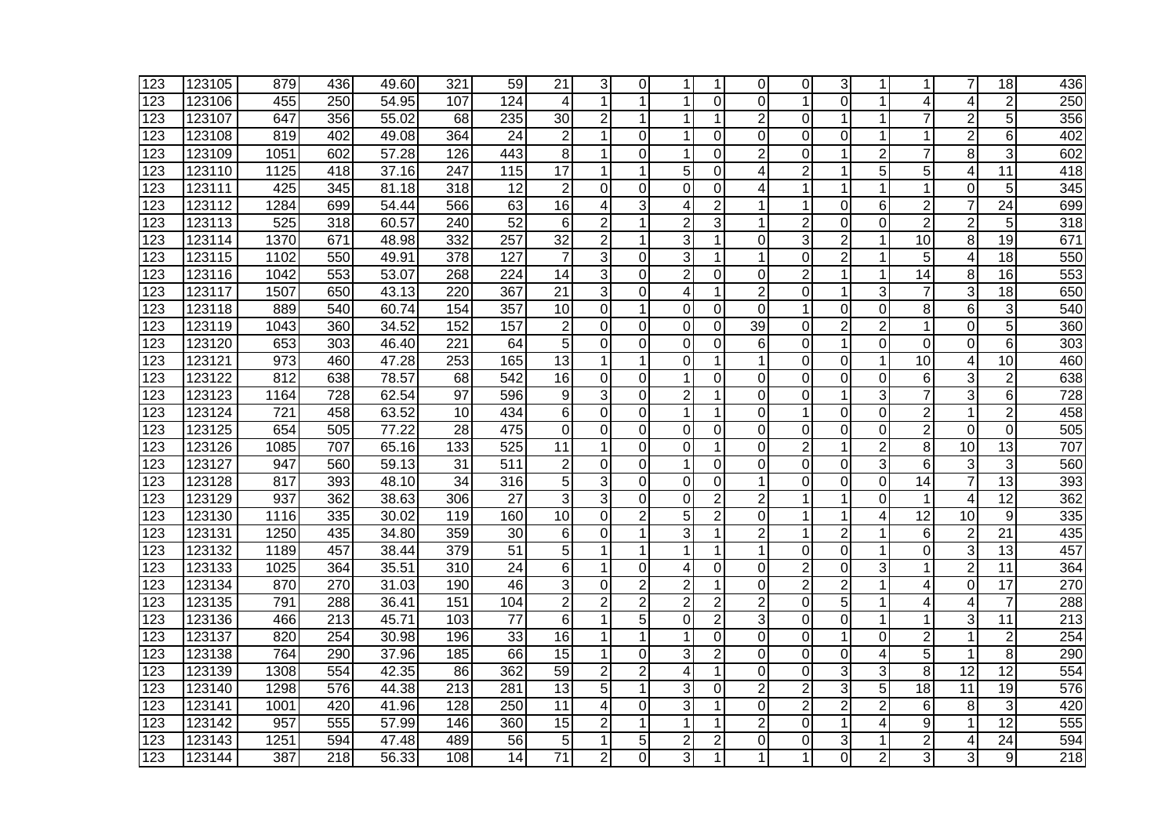| 123              | 123105 | 879  | 436              | 49.60 | 321              | 59              | 21              | 3              | 0              | 1              |                | $\Omega$       | 0              | 3              | 1              | 1                       | $\overline{7}$  | 18              | 436              |
|------------------|--------|------|------------------|-------|------------------|-----------------|-----------------|----------------|----------------|----------------|----------------|----------------|----------------|----------------|----------------|-------------------------|-----------------|-----------------|------------------|
| 123              | 123106 | 455  | 250              | 54.95 | 107              | 124             | 4               | 1              |                | 1              | 0              | $\Omega$       | 1              | $\Omega$       | 1              | 4                       | 4               | $\overline{2}$  | 250              |
| 123              | 123107 | 647  | 356              | 55.02 | 68               | 235             | 30              | $\overline{2}$ |                | 1              |                | $\overline{2}$ | $\Omega$       | 1              | 1              | 7                       | $\overline{2}$  | 5               | 356              |
| 123              | 123108 | 819  | 402              | 49.08 | 364              | $\overline{24}$ | $\overline{2}$  | 1              | $\Omega$       | 1              | 0              | 0              | $\Omega$       | 0              | 1              | 1                       | 2               | 6               | 402              |
| 123              | 123109 | 1051 | 602              | 57.28 | 126              | 443             | 8               | 1              | $\Omega$       | 1              | 0              | 2              | 0              | 1              | $\overline{2}$ | 7                       | 8               | 3               | 602              |
| 123              | 123110 | 1125 | 418              | 37.16 | 247              | 115             | 17              | 1              | 1              | 5              | 0              | 4              | $\overline{2}$ | 1              | 5              | 5                       | 4               | 11              | $\overline{418}$ |
| 123              | 123111 | 425  | 345              | 81.18 | 318              | $\overline{12}$ | $\overline{2}$  | $\Omega$       | 0              | $\Omega$       | 0              | 4              | 1              | 1              | 1              | 1                       | 0               | 5               | 345              |
| 123              | 123112 | 1284 | 699              | 54.44 | 566              | 63              | $\overline{16}$ | 4              | 3              | 4              | $\overline{2}$ |                | 1              | 0              | 6              | $\overline{2}$          | $\overline{7}$  | $\overline{24}$ | 699              |
| 123              | 123113 | 525  | $\overline{318}$ | 60.57 | 240              | 52              | 6               | $\overline{2}$ | 1              | $\overline{2}$ | 3              |                | $\overline{2}$ | $\overline{0}$ | $\overline{0}$ | $\overline{2}$          | $\overline{2}$  | 5               | $\overline{318}$ |
| 123              | 123114 | 1370 | 671              | 48.98 | 332              | 257             | $\overline{32}$ | $\overline{2}$ | 1              | 3              |                | 0              | $\overline{3}$ | $\overline{2}$ | $\mathbf{1}$   | 10                      | 8               | 19              | 671              |
| 123              | 123115 | 1102 | 550              | 49.91 | 378              | 127             | $\overline{7}$  | 3              | $\Omega$       | 3              | 1              | 1              | $\Omega$       | $\overline{2}$ | 1              | 5                       | 4               | 18              | 550              |
| 123              | 123116 | 1042 | 553              | 53.07 | 268              | 224             | 14              | 3              | $\Omega$       | $\overline{2}$ | 0              | 0              | $\overline{2}$ | 1              | 1              | 14                      | 8               | 16              | 553              |
| 123              | 123117 | 1507 | 650              | 43.13 | 220              | 367             | 21              | 3              | 0              | $\overline{4}$ | 1              | 2              | 0              | 1              | 3              | 7                       | 3               | 18              | 650              |
| 123              | 123118 | 889  | 540              | 60.74 | 154              | 357             | 10              | 0              | 1              | 0              | 0              | 0              | 1              | 0              | 0              | 8                       | 6               | 3               | 540              |
| 123              | 123119 | 1043 | 360              | 34.52 | 152              | 157             | $\overline{2}$  | 0              | $\Omega$       | 0              | 0              | 39             | 0              | $\overline{2}$ | $\overline{2}$ | 1                       | 0               | 5               | 360              |
| 123              | 123120 | 653  | 303              | 46.40 | 221              | 64              | 5               | $\mathbf 0$    | $\Omega$       | 0              | 0              | 6              | $\overline{0}$ | 1              | $\overline{0}$ | $\overline{0}$          | $\mathbf 0$     | $6\phantom{1}6$ | 303              |
| 123              | 123121 | 973  | 460              | 47.28 | 253              | 165             | 13              | 1              | 1              | $\Omega$       | 1              | 1              | $\overline{0}$ | 0              | $\mathbf{1}$   | $\overline{10}$         | 4               | 10              | 460              |
| 123              | 123122 | 812  | 638              | 78.57 | 68               | 542             | 16              | $\mathbf 0$    | $\Omega$       | 1              | $\Omega$       | 0              | $\Omega$       | $\mathbf 0$    | 0              | 6                       | 3               | $\overline{2}$  | 638              |
| 123              | 123123 | 1164 | $\overline{728}$ | 62.54 | $\overline{97}$  | 596             | 9               | 3              | $\Omega$       | $\overline{2}$ | 1              | 0              | $\overline{0}$ | 1              | 3              | $\overline{7}$          | 3               | 6               | 728              |
| 123              | 123124 | 721  | 458              | 63.52 | 10               | 434             | 6               | 0              | $\Omega$       | $\mathbf 1$    | 1              | 0              | 1              | 0              | 0              | $\overline{2}$          | 1               | $\overline{2}$  | 458              |
| 123              | 123125 | 654  | 505              | 77.22 | 28               | 475             | 0               | 0              | 0              | 0              | 0              | 0              | 0              | 0              | 0              | $\overline{2}$          | 0               | 0               | 505              |
| 123              | 123126 | 1085 | 707              | 65.16 | 133              | 525             | 11              | 1              | 0              | 0              |                | 0              | $\overline{2}$ | 1              | $\overline{2}$ | 8                       | 10              | 13              | 707              |
| 123              | 123127 | 947  | 560              | 59.13 | 31               | 511             | $\overline{2}$  | 0              | 0              | $\mathbf{1}$   | 0              | 0              | $\mathbf 0$    | 0              | $\overline{3}$ | 6                       | 3               | 3               | 560              |
| 123              | 123128 | 817  | 393              | 48.10 | 34               | 316             | 5               | 3              | $\Omega$       | 0              | 0              | 1              | $\overline{0}$ | $\overline{O}$ | $\overline{0}$ | 14                      | $\overline{7}$  | $\overline{13}$ | 393              |
| 123              | 123129 | 937  | 362              | 38.63 | 306              | 27              | 3               | 3              | $\mathbf 0$    | $\overline{0}$ | $\overline{2}$ | $\overline{2}$ | 1              | 1              | $\overline{0}$ | $\mathbf{1}$            | 4               | $\overline{12}$ | 362              |
| 123              | 123130 | 1116 | 335              | 30.02 | 119              | 160             | 10              | 0              | $\overline{2}$ | 5              | $\overline{2}$ | 0              | 1              | 1              | 4              | 12                      | 10              | 9               | 335              |
| 123              | 123131 | 1250 | 435              | 34.80 | 359              | 30              | 6               | 0              | 1              | 3              | 1              | $\overline{2}$ | $\mathbf{1}$   | $\overline{2}$ | $\mathbf{1}$   | 6                       | $\overline{2}$  | $\overline{21}$ | 435              |
| 123              | 123132 | 1189 | 457              | 38.44 | 379              | 51              | 5               | 1              | 1              | $\mathbf 1$    | 1              | 1              | 0              | 0              | 1              | 0                       | 3               | 13              | 457              |
| 123              | 123133 | 1025 | 364              | 35.51 | 310              | 24              | 6               | 1              | 0              | 4              | 0              | 0              | $\overline{c}$ | 0              | 3              | 1                       | $\overline{2}$  | 11              | 364              |
| 123              | 123134 | 870  | 270              | 31.03 | 190              | 46              | 3               | 0              | 2              | $\overline{2}$ | 1              | 0              | $\overline{2}$ | $\overline{c}$ | 1              | 4                       | 0               | 17              | 270              |
| 123              | 123135 | 791  | 288              | 36.41 | 151              | 104             | $\overline{c}$  | $\overline{2}$ | $\overline{2}$ | $\overline{2}$ | $\overline{2}$ | $\overline{2}$ | $\mathbf 0$    | 5              | 1              | 4                       | 4               | $\overline{7}$  | 288              |
| 123              | 123136 | 466  | 213              | 45.71 | 103              | 77              | 6               | 1              | 5              | 0              | $\overline{2}$ | 3              | $\overline{0}$ | 0              | 1              | 1                       | 3               | 11              | $\overline{213}$ |
| 123              | 123137 | 820  | 254              | 30.98 | 196              | 33              | 16              | 1              | 1              | $\mathbf 1$    | 0              | 0              | $\Omega$       | 1              | 0              | $\overline{2}$          | 1               | $\overline{2}$  | 254              |
| 123              | 123138 | 764  | 290              | 37.96 | 185              | 66              | 15              | 1              | $\Omega$       | 3              | $\overline{2}$ | 0              | $\overline{0}$ | 0              | 4              | 5                       | 1               | 8               | 290              |
| 123              | 123139 | 1308 | 554              | 42.35 | 86               | 362             | $\overline{59}$ | $\overline{2}$ | $\overline{2}$ | $\overline{4}$ | 1              | 0              | 0              | 3              | 3              | $\overline{8}$          | $\overline{12}$ | $\overline{12}$ | 554              |
| 123              | 123140 | 1298 | 576              | 44.38 | 213              | 281             | $\overline{13}$ | 5              | 1              | 3              | 0              | 2              | $\overline{2}$ | 3              | 5              | $\overline{18}$         | 11              | $\overline{19}$ | 576              |
| 123              | 123141 | 1001 | 420              | 41.96 | $\overline{128}$ | 250             | $\overline{11}$ | 4              | $\Omega$       | 3              |                | 0              | $\overline{c}$ | $\overline{c}$ | $\overline{2}$ | 6                       | 8               | 3               | 420              |
| $\overline{123}$ | 123142 | 957  | 555              | 57.99 | 146              | 360             | $\overline{15}$ | $\overline{2}$ |                | 1              | 1              | $\overline{2}$ | $\overline{0}$ | 1              | 4              | $\overline{9}$          | 1               | $\overline{12}$ | 555              |
| 123              | 123143 | 1251 | 594              | 47.48 | 489              | 56              | 5               | 1              | 5              | $\overline{2}$ | $\overline{c}$ | 0              | 0              | 3              | 1              | $\overline{\mathbf{c}}$ | 4               | $\overline{24}$ | 594              |
| 123              | 123144 | 387  | 218              | 56.33 | 108              | 14              | 71              | $\overline{2}$ | $\Omega$       | 3              | 1              | 1              | 1              | 0              | $\overline{2}$ | 3                       | 3               | 9               | 218              |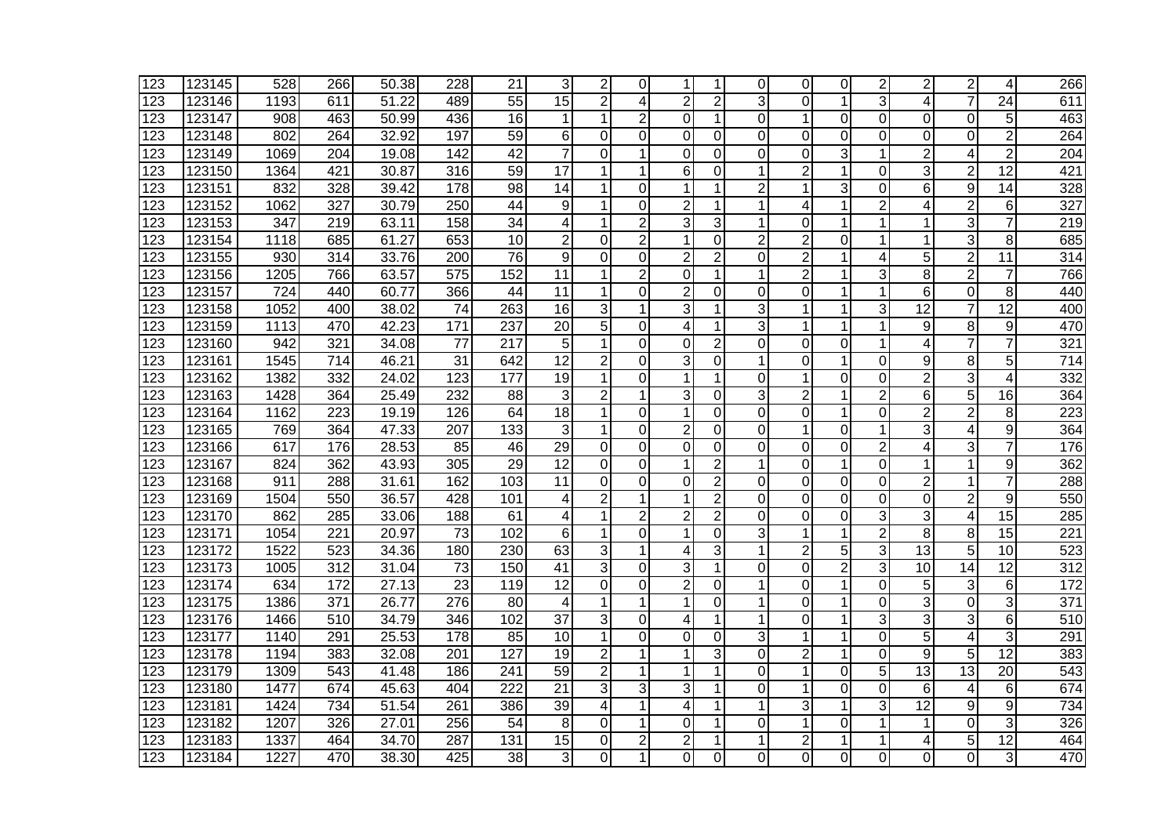| 123 | 123145 | 528  | 266              | 50.38 | 228              | 21               | 3               | $\overline{2}$ | $\Omega$       | 1              |                | 0              | 0              | 0              | $\overline{2}$ | $\overline{2}$ | $\overline{2}$ | 4               | 266              |
|-----|--------|------|------------------|-------|------------------|------------------|-----------------|----------------|----------------|----------------|----------------|----------------|----------------|----------------|----------------|----------------|----------------|-----------------|------------------|
| 123 | 123146 | 1193 | 611              | 51.22 | 489              | 55               | 15              | $\overline{2}$ | 4              | $\overline{2}$ | $\overline{2}$ | 3              | $\overline{0}$ | 1              | 3              | 4              | $\overline{7}$ | $\overline{24}$ | 611              |
| 123 | 123147 | 908  | 463              | 50.99 | 436              | 16               | 1               | 1              | $\overline{2}$ | 0              | 1              | 0              | $\mathbf{1}$   | $\overline{0}$ | 0              | 0              | 0              | 5               | 463              |
| 123 | 123148 | 802  | 264              | 32.92 | 197              | 59               | 6               | 0              | 0              | $\Omega$       | 0              | $\Omega$       | $\Omega$       | $\Omega$       | 0              | 0              | 0              | $\overline{2}$  | 264              |
| 123 | 123149 | 1069 | 204              | 19.08 | $\overline{142}$ | $\overline{42}$  | 7               | 0              |                | 0              | 0              | 0              | $\Omega$       | 3              | 1              | $\overline{2}$ | 4              | $\overline{2}$  | 204              |
| 123 | 123150 | 1364 | 421              | 30.87 | 316              | 59               | $\overline{17}$ | 1              |                | 6              | 0              |                | $\overline{2}$ | 1              | 0              | 3              | $\overline{2}$ | $\overline{12}$ | 421              |
| 123 | 123151 | 832  | 328              | 39.42 | $\overline{178}$ | $\overline{98}$  | 14              | 1              | $\Omega$       | 1              |                | 2              | 1              | 3              | 0              | 6              | 9              | 14              | 328              |
| 123 | 123152 | 1062 | 327              | 30.79 | $\overline{250}$ | 44               | 9               | 1              | $\Omega$       | $\overline{c}$ | 1              | 1              | 4              | 1              | $\overline{2}$ | 4              | $\overline{c}$ | 6               | 327              |
| 123 | 123153 | 347  | 219              | 63.11 | 158              | 34               | 4               | 1              | $\overline{2}$ | 3              | 3              |                | $\mathbf 0$    | 1              | 1              | 1              | 3              | $\overline{7}$  | 219              |
| 123 | 123154 | 1118 | 685              | 61.27 | 653              | 10               | 2               | 0              | $\overline{2}$ | 1              | 0              | $\overline{2}$ | $\overline{2}$ | 0              | 1              | 1              | 3              | 8               | 685              |
| 123 | 123155 | 930  | 314              | 33.76 | 200              | 76               | 9               | 0              | 0              | $\overline{2}$ | $\overline{2}$ | 0              | $\overline{2}$ | 1              | 4              | 5              | $\overline{2}$ | 11              | 314              |
| 123 | 123156 | 1205 | 766              | 63.57 | 575              | 152              | 11              | 1              | $\overline{2}$ | 0              | 1              | 1              | $\overline{2}$ | 1              | 3              | 8              | $\overline{2}$ | $\overline{7}$  | 766              |
| 123 | 123157 | 724  | 440              | 60.77 | 366              | 44               | 11              | 1              | $\Omega$       | $\overline{2}$ | 0              | 0              | 0              | 1              | $\mathbf{1}$   | 6              | $\Omega$       | 8               | 440              |
| 123 | 123158 | 1052 | 400              | 38.02 | 74               | 263              | 16              | 3              | 1              | 3              |                | 3              | 1              | 1              | 3              | 12             | $\overline{7}$ | 12              | 400              |
| 123 | 123159 | 1113 | 470              | 42.23 | 171              | 237              | 20              | 5              | 0              | 4              |                | 3              | 1              | 1              | 1              | 9              | 8              | 9               | 470              |
| 123 | 123160 | 942  | 321              | 34.08 | $\overline{77}$  | $\overline{217}$ | 5               | 1              | $\Omega$       | $\Omega$       | 2              | 0              | $\overline{0}$ | $\overline{0}$ | 1              | $\overline{4}$ | $\overline{7}$ | $\overline{7}$  | 321              |
| 123 | 123161 | 1545 | 714              | 46.21 | 31               | 642              | 12              | $\overline{c}$ | $\mathbf 0$    | 3              | 0              | 1              | $\overline{0}$ | 1              | 0              | 9              | 8              | 5               | $\overline{714}$ |
| 123 | 123162 | 1382 | 332              | 24.02 | 123              | 177              | 19              | 1              | 0              | 1              | 1              | 0              | 1              | $\mathbf 0$    | $\Omega$       | $\overline{2}$ | 3              | 4               | 332              |
| 123 | 123163 | 1428 | 364              | 25.49 | 232              | 88               | 3               | $\overline{2}$ | 1              | 3              | 0              | 3              | $\overline{2}$ | 1              | $\overline{2}$ | 6              | 5              | 16              | 364              |
| 123 | 123164 | 1162 | 223              | 19.19 | 126              | 64               | 18              | 1              | $\Omega$       | $\mathbf 1$    | $\Omega$       | 0              | $\mathbf 0$    | 1              | $\overline{0}$ | $\overline{2}$ | $\overline{c}$ | 8               | 223              |
| 123 | 123165 | 769  | 364              | 47.33 | 207              | 133              | 3               | 1              | $\Omega$       | $\overline{2}$ | 0              | 0              | 1              | 0              | 1              | 3              | 4              | 9               | 364              |
| 123 | 123166 | 617  | 176              | 28.53 | 85               | 46               | 29              | $\Omega$       | $\Omega$       | $\Omega$       | 0              | 0              | $\Omega$       | $\mathbf 0$    | $\overline{2}$ | 4              | 3              | $\overline{7}$  | 176              |
| 123 | 123167 | 824  | 362              | 43.93 | 305              | 29               | $\overline{12}$ | $\Omega$       | $\Omega$       | $\mathbf 1$    | 2              | 1              | $\overline{0}$ | 1              | $\overline{0}$ | 1              | 1              | 9               | 362              |
| 123 | 123168 | 911  | 288              | 31.61 | 162              | 103              | 11              | $\mathbf 0$    | $\Omega$       | 0              | $\overline{2}$ | $\Omega$       | $\mathbf 0$    | $\mathbf 0$    | $\Omega$       | $\overline{2}$ | 1              | $\overline{7}$  | 288              |
| 123 | 123169 | 1504 | 550              | 36.57 | 428              | 101              | 4               | $\overline{2}$ | 1              | 1              | $\overline{2}$ | 0              | $\mathbf 0$    | $\mathbf 0$    | 0              | $\mathbf 0$    | $\overline{2}$ | 9               | 550              |
| 123 | 123170 | 862  | 285              | 33.06 | 188              | 61               | 4               | 1              | $\overline{2}$ | $\overline{2}$ | $\overline{2}$ | 0              | 0              | $\mathbf 0$    | 3              | 3              | 4              | 15              | 285              |
| 123 | 123171 | 1054 | 221              | 20.97 | 73               | 102              | 6               | 1              | 0              | 1              | 0              | 3              | 1              | 1              | $\overline{2}$ | 8              | 8              | 15              | $\overline{221}$ |
| 123 | 123172 | 1522 | 523              | 34.36 | 180              | 230              | 63              | 3              | 1              | 4              | 3              | 1              | $\overline{c}$ | 5              | 3              | 13             | 5              | 10              | 523              |
| 123 | 123173 | 1005 | 312              | 31.04 | 73               | 150              | 41              | 3              | $\mathbf 0$    | 3              |                | 0              | 0              | $\overline{2}$ | 3              | 10             | 14             | $\overline{12}$ | $\overline{312}$ |
| 123 | 123174 | 634  | 172              | 27.13 | $\overline{23}$  | 119              | 12              | 0              | $\Omega$       | $\overline{2}$ | 0              | 1              | 0              | 1              | $\mathbf 0$    | 5              | 3              | 6               | 172              |
| 123 | 123175 | 1386 | $\overline{371}$ | 26.77 | 276              | 80               | 4               | 1              |                | $\mathbf 1$    | 0              |                | $\mathbf 0$    | 1              | 0              | 3              | $\mathbf 0$    | $\overline{3}$  | $\overline{371}$ |
| 123 | 123176 | 1466 | 510              | 34.79 | 346              | 102              | 37              | 3              | $\mathbf 0$    | 4              | 1              |                | $\Omega$       | 1              | 3              | $\overline{3}$ | 3              | 6               | 510              |
| 123 | 123177 | 1140 | 291              | 25.53 | 178              | 85               | 10              | 1              | 0              | $\Omega$       | 0              | 3              | 1              | 1              | 0              | 5              | 4              | 3               | 291              |
| 123 | 123178 | 1194 | 383              | 32.08 | 201              | 127              | 19              | $\overline{2}$ | 1              | 1              | 3              | 0              | $\overline{2}$ | 1              | 0              | 9              | 5              | 12              | 383              |
| 123 | 123179 | 1309 | 543              | 41.48 | 186              | 241              | $\overline{59}$ | $\overline{2}$ | 1              | 1              | 1              | 0              | 1              | 0              | $\overline{5}$ | 13             | 13             | $\overline{20}$ | 543              |
| 123 | 123180 | 1477 | 674              | 45.63 | 404              | $\overline{222}$ | $\overline{21}$ | 3              | 3              | 3              | 1              | 0              | 1              | 0              | 0              | 6              | 4              | 6               | 674              |
| 123 | 123181 | 1424 | 734              | 51.54 | 261              | 386              | $\overline{39}$ | 4              |                | 4              |                |                | 3              | 1              | 3              | 12             | 9              | 9               | 734              |
| 123 | 123182 | 1207 | 326              | 27.01 | $\overline{256}$ | 54               | 8               | $\mathbf 0$    |                | $\Omega$       |                | 0              | 1              | 0              | 1              | 1              | 0              | 3               | 326              |
| 123 | 123183 | 1337 | 464              | 34.70 | 287              | 131              | $\overline{15}$ | 0              | $\overline{c}$ | $\overline{2}$ |                |                | $\overline{c}$ | 1              | 1              | 4              | 5              | $\overline{12}$ | 464              |
| 123 | 123184 | 1227 | 470              | 38.30 | 425              | 38               | 3               | 0              | 1              | 0              | 0              | 0              | 0              | 0              | 0              | 0              | 0              | 3               | 470              |